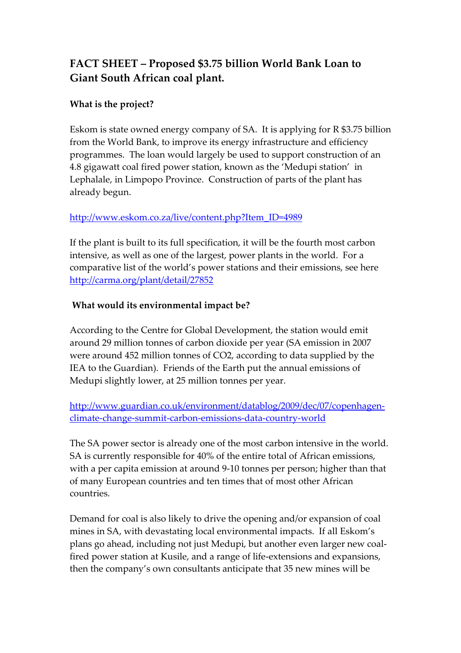# **FACT SHEET – Proposed \$3.75 billion World Bank Loan to Giant South African coal plant.**

## **What is the project?**

Eskom is state owned energy company of SA. It is applying for R \$3.75 billion from the World Bank, to improve its energy infrastructure and efficiency programmes. The loan would largely be used to support construction of an 4.8 gigawatt coal fired power station, known as the 'Medupi station' in Lephalale, in Limpopo Province. Construction of parts of the plant has already begun.

### http://www.eskom.co.za/live/content.php?Item\_ID=4989

If the plant is built to its full specification, it will be the fourth most carbon intensive, as well as one of the largest, power plants in the world. For a comparative list of the world's power stations and their emissions, see here http://carma.org/plant/detail/27852

## **What would its environmental impact be?**

According to the Centre for Global Development, the station would emit around 29 million tonnes of carbon dioxide per year (SA emission in 2007 were around 452 million tonnes of CO2, according to data supplied by the IEA to the Guardian). Friends of the Earth put the annual emissions of Medupi slightly lower, at 25 million tonnes per year.

http://www.guardian.co.uk/environment/datablog/2009/dec/07/copenhagenclimate-change-summit-carbon-emissions-data-country-world

The SA power sector is already one of the most carbon intensive in the world. SA is currently responsible for 40% of the entire total of African emissions, with a per capita emission at around 9-10 tonnes per person; higher than that of many European countries and ten times that of most other African countries.

Demand for coal is also likely to drive the opening and/or expansion of coal mines in SA, with devastating local environmental impacts. If all Eskom's plans go ahead, including not just Medupi, but another even larger new coalfired power station at Kusile, and a range of life-extensions and expansions, then the company's own consultants anticipate that 35 new mines will be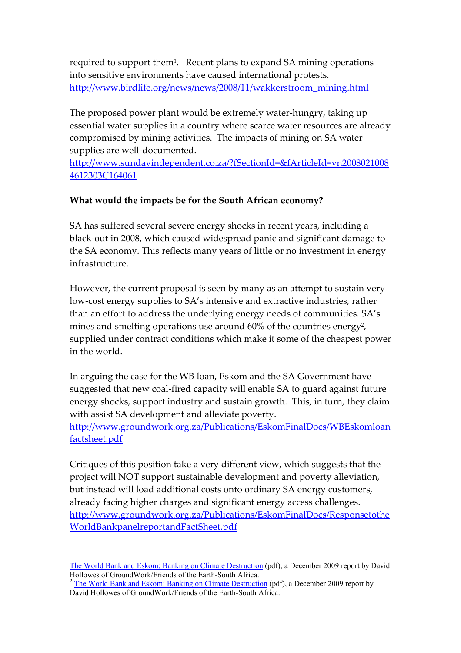required to support them<sup>1</sup>. Recent plans to expand SA mining operations into sensitive environments have caused international protests. http://www.birdlife.org/news/news/2008/11/wakkerstroom\_mining.html

The proposed power plant would be extremely water-hungry, taking up essential water supplies in a country where scarce water resources are already compromised by mining activities. The impacts of mining on SA water supplies are well-documented.

http://www.sundayindependent.co.za/?fSectionId=&fArticleId=vn2008021008 4612303C164061

#### **What would the impacts be for the South African economy?**

SA has suffered several severe energy shocks in recent years, including a black-out in 2008, which caused widespread panic and significant damage to the SA economy. This reflects many years of little or no investment in energy infrastructure.

However, the current proposal is seen by many as an attempt to sustain very low-cost energy supplies to SA's intensive and extractive industries, rather than an effort to address the underlying energy needs of communities. SA's mines and smelting operations use around 60% of the countries energy<sup>2</sup>, supplied under contract conditions which make it some of the cheapest power in the world.

In arguing the case for the WB loan, Eskom and the SA Government have suggested that new coal-fired capacity will enable SA to guard against future energy shocks, support industry and sustain growth. This, in turn, they claim with assist SA development and alleviate poverty.

http://www.groundwork.org.za/Publications/EskomFinalDocs/WBEskomloan factsheet.pdf

Critiques of this position take a very different view, which suggests that the project will NOT support sustainable development and poverty alleviation, but instead will load additional costs onto ordinary SA energy customers, already facing higher charges and significant energy access challenges. http://www.groundwork.org.za/Publications/EskomFinalDocs/Responsetothe WorldBankpanelreportandFactSheet.pdf

 $\overline{a}$ The World Bank and Eskom: Banking on Climate Destruction (pdf), a December 2009 report by David Hollowes of GroundWork/Friends of the Earth-South Africa.

<sup>&</sup>lt;sup>2</sup> The World Bank and Eskom: Banking on Climate Destruction (pdf), a December 2009 report by David Hollowes of GroundWork/Friends of the Earth-South Africa.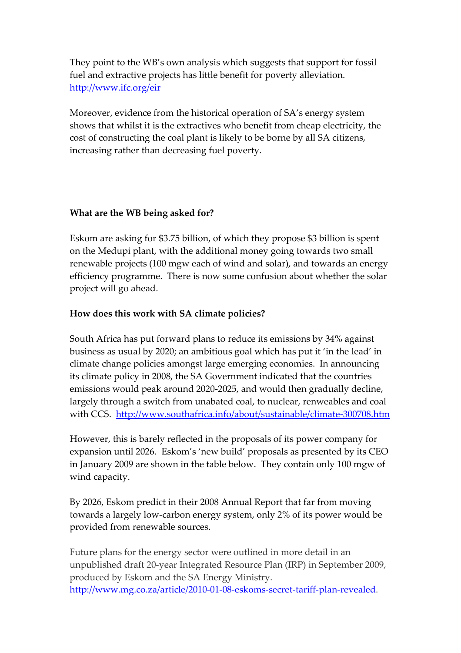They point to the WB's own analysis which suggests that support for fossil fuel and extractive projects has little benefit for poverty alleviation. http://www.ifc.org/eir

Moreover, evidence from the historical operation of SA's energy system shows that whilst it is the extractives who benefit from cheap electricity, the cost of constructing the coal plant is likely to be borne by all SA citizens, increasing rather than decreasing fuel poverty.

#### **What are the WB being asked for?**

Eskom are asking for \$3.75 billion, of which they propose \$3 billion is spent on the Medupi plant, with the additional money going towards two small renewable projects (100 mgw each of wind and solar), and towards an energy efficiency programme. There is now some confusion about whether the solar project will go ahead.

### **How does this work with SA climate policies?**

South Africa has put forward plans to reduce its emissions by 34% against business as usual by 2020; an ambitious goal which has put it 'in the lead' in climate change policies amongst large emerging economies. In announcing its climate policy in 2008, the SA Government indicated that the countries emissions would peak around 2020-2025, and would then gradually decline, largely through a switch from unabated coal, to nuclear, renweables and coal with CCS. http://www.southafrica.info/about/sustainable/climate-300708.htm

However, this is barely reflected in the proposals of its power company for expansion until 2026. Eskom's 'new build' proposals as presented by its CEO in January 2009 are shown in the table below. They contain only 100 mgw of wind capacity.

By 2026, Eskom predict in their 2008 Annual Report that far from moving towards a largely low-carbon energy system, only 2% of its power would be provided from renewable sources.

Future plans for the energy sector were outlined in more detail in an unpublished draft 20-year Integrated Resource Plan (IRP) in September 2009, produced by Eskom and the SA Energy Ministry. http://www.mg.co.za/article/2010-01-08-eskoms-secret-tariff-plan-revealed.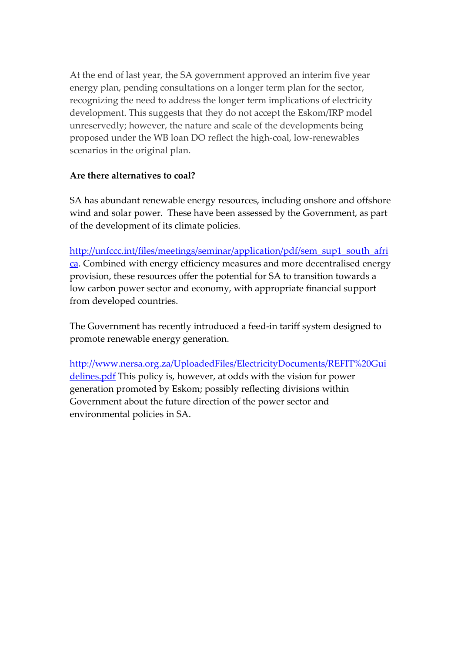At the end of last year, the SA government approved an interim five year energy plan, pending consultations on a longer term plan for the sector, recognizing the need to address the longer term implications of electricity development. This suggests that they do not accept the Eskom/IRP model unreservedly; however, the nature and scale of the developments being proposed under the WB loan DO reflect the high-coal, low-renewables scenarios in the original plan.

#### **Are there alternatives to coal?**

SA has abundant renewable energy resources, including onshore and offshore wind and solar power. These have been assessed by the Government, as part of the development of its climate policies.

http://unfccc.int/files/meetings/seminar/application/pdf/sem\_sup1\_south\_afri ca. Combined with energy efficiency measures and more decentralised energy provision, these resources offer the potential for SA to transition towards a low carbon power sector and economy, with appropriate financial support from developed countries.

The Government has recently introduced a feed-in tariff system designed to promote renewable energy generation.

http://www.nersa.org.za/UploadedFiles/ElectricityDocuments/REFIT%20Gui delines.pdf This policy is, however, at odds with the vision for power generation promoted by Eskom; possibly reflecting divisions within Government about the future direction of the power sector and environmental policies in SA.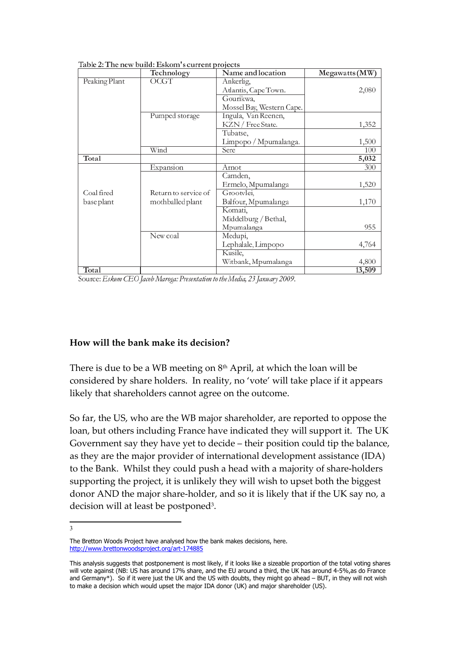|               | Technology           | Name and location         | Megawatts (MW) |
|---------------|----------------------|---------------------------|----------------|
| Peaking Plant | OCGT                 | Ankerlig,                 |                |
|               |                      | Atlantis, Cape Town.      | 2,080          |
|               |                      | Gourikwa,                 |                |
|               |                      | Mossel Bay, Western Cape. |                |
|               | Pumped storage       | Ingula, Van Reenen,       |                |
|               |                      | KZN / Free State.         | 1,352          |
|               |                      | Tubatse,                  |                |
|               |                      | Limpopo / Mpumalanga.     | 1,500          |
|               | Wind                 | Sere                      | 100            |
| Total         |                      |                           | 5,032          |
|               | Expansion            | Arnot                     | 300            |
|               |                      | Camden,                   |                |
|               |                      | Ermelo, Mpumalanga        | 1,520          |
| Coal fired    | Return to service of | Grootvlei,                |                |
| baseplant     | mothballed plant     | Balfour, Mpumalanga       | 1,170          |
|               |                      | Komati,                   |                |
|               |                      | Middelburg / Bethal,      |                |
|               |                      | Mpumalanga                | 955            |
|               | New coal             | Medupi,                   |                |
|               |                      | Lephalale, Limpopo        | 4,764          |
|               |                      | Kusile,                   |                |
|               |                      | Witbank, Mpumalanga       | 4,800          |
| Total         |                      |                           | 13.509         |

Table 2: The new build: Eskom's current projects

Source: Eskom CEO Jacob Maroga: Presentation to the Media, 23 January 2009.

#### **How will the bank make its decision?**

There is due to be a WB meeting on  $8<sup>th</sup>$  April, at which the loan will be considered by share holders. In reality, no 'vote' will take place if it appears likely that shareholders cannot agree on the outcome.

So far, the US, who are the WB major shareholder, are reported to oppose the loan, but others including France have indicated they will support it. The UK Government say they have yet to decide – their position could tip the balance, as they are the major provider of international development assistance (IDA) to the Bank. Whilst they could push a head with a majority of share-holders supporting the project, it is unlikely they will wish to upset both the biggest donor AND the major share-holder, and so it is likely that if the UK say no, a decision will at least be postponed<sup>3</sup>.

3

The Bretton Woods Project have analysed how the bank makes decisions, here. http://www.brettonwoodsproject.org/art-174885

This analysis suggests that postponement is most likely, if it looks like a sizeable proportion of the total voting shares will vote against (NB: US has around 17% share, and the EU around a third, the UK has around 4-5%,as do France and Germany\*). So if it were just the UK and the US with doubts, they might go ahead - BUT, in they will not wish to make a decision which would upset the major IDA donor (UK) and major shareholder (US).